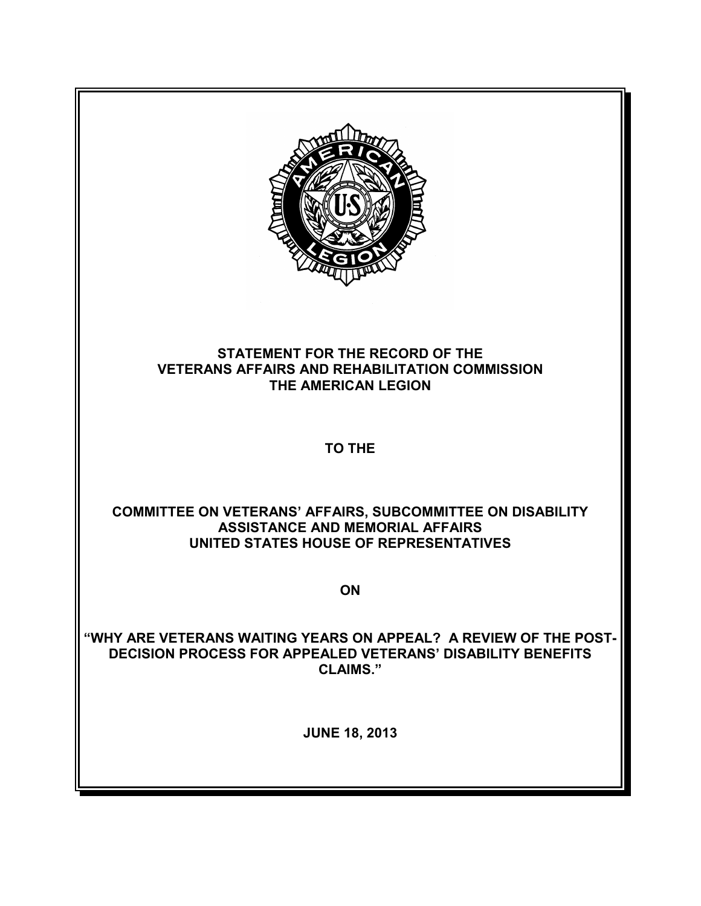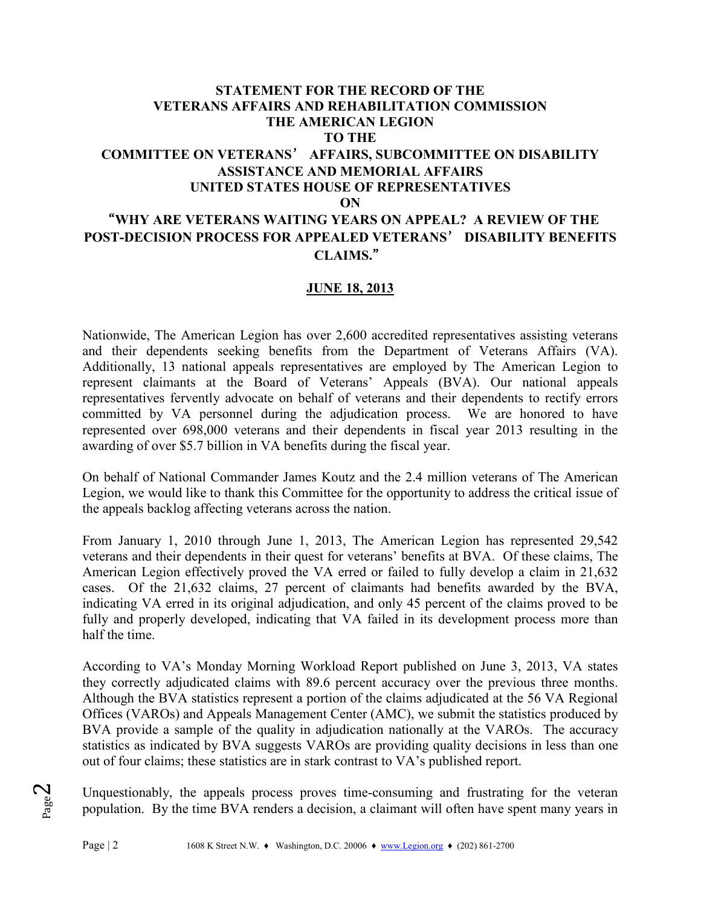## **STATEMENT FOR THE RECORD OF THE VETERANS AFFAIRS AND REHABILITATION COMMISSION THE AMERICAN LEGION TO THE COMMITTEE ON VETERANS**' **AFFAIRS, SUBCOMMITTEE ON DISABILITY ASSISTANCE AND MEMORIAL AFFAIRS**

## **UNITED STATES HOUSE OF REPRESENTATIVES**

**ON**

## "**WHY ARE VETERANS WAITING YEARS ON APPEAL? A REVIEW OF THE POST-DECISION PROCESS FOR APPEALED VETERANS**' **DISABILITY BENEFITS CLAIMS.**"

## **JUNE 18, 2013**

Nationwide, The American Legion has over 2,600 accredited representatives assisting veterans and their dependents seeking benefits from the Department of Veterans Affairs (VA). Additionally, 13 national appeals representatives are employed by The American Legion to represent claimants at the Board of Veterans' Appeals (BVA). Our national appeals representatives fervently advocate on behalf of veterans and their dependents to rectify errors committed by VA personnel during the adjudication process. We are honored to have represented over 698,000 veterans and their dependents in fiscal year 2013 resulting in the awarding of over \$5.7 billion in VA benefits during the fiscal year.

On behalf of National Commander James Koutz and the 2.4 million veterans of The American Legion, we would like to thank this Committee for the opportunity to address the critical issue of the appeals backlog affecting veterans across the nation.

From January 1, 2010 through June 1, 2013, The American Legion has represented 29,542 veterans and their dependents in their quest for veterans' benefits at BVA. Of these claims, The American Legion effectively proved the VA erred or failed to fully develop a claim in 21,632 cases. Of the 21,632 claims, 27 percent of claimants had benefits awarded by the BVA, indicating VA erred in its original adjudication, and only 45 percent of the claims proved to be fully and properly developed, indicating that VA failed in its development process more than half the time.

According to VA's Monday Morning Workload Report published on June 3, 2013, VA states they correctly adjudicated claims with 89.6 percent accuracy over the previous three months. Although the BVA statistics represent a portion of the claims adjudicated at the 56 VA Regional Offices (VAROs) and Appeals Management Center (AMC), we submit the statistics produced by BVA provide a sample of the quality in adjudication nationally at the VAROs. The accuracy statistics as indicated by BVA suggests VAROs are providing quality decisions in less than one out of four claims; these statistics are in stark contrast to VA's published report.

Unquestionably, the appeals process proves time-consuming and frustrating for the veteran population. By the time BVA renders a decision, a claimant will often have spent many years in

Page  $\boldsymbol{\mathsf{C}}$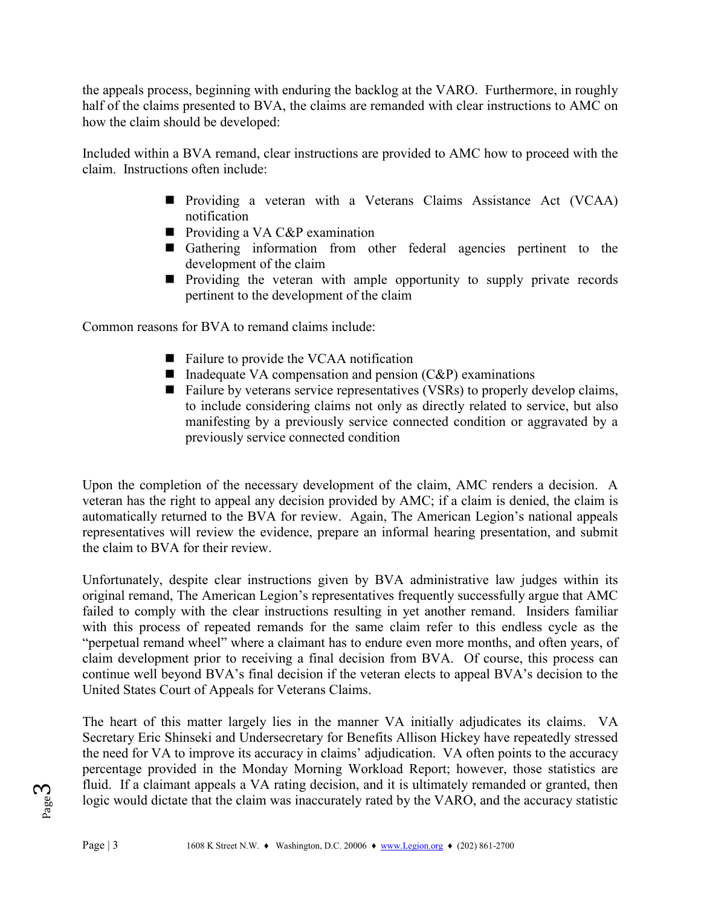the appeals process, beginning with enduring the backlog at the VARO. Furthermore, in roughly half of the claims presented to BVA, the claims are remanded with clear instructions to AMC on how the claim should be developed:

Included within a BVA remand, clear instructions are provided to AMC how to proceed with the claim. Instructions often include:

- Providing a veteran with a Veterans Claims Assistance Act (VCAA) notification
- **Providing a VA C&P examination**
- Gathering information from other federal agencies pertinent to the development of the claim
- **Providing the veteran with ample opportunity to supply private records** pertinent to the development of the claim

Common reasons for BVA to remand claims include:

- Failure to provide the VCAA notification
- Inadequate VA compensation and pension  $(C\&P)$  examinations
- Failure by veterans service representatives (VSRs) to properly develop claims, to include considering claims not only as directly related to service, but also manifesting by a previously service connected condition or aggravated by a previously service connected condition

Upon the completion of the necessary development of the claim, AMC renders a decision. A veteran has the right to appeal any decision provided by AMC; if a claim is denied, the claim is automatically returned to the BVA for review. Again, The American Legion's national appeals representatives will review the evidence, prepare an informal hearing presentation, and submit the claim to BVA for their review.

Unfortunately, despite clear instructions given by BVA administrative law judges within its original remand, The American Legion's representatives frequently successfully argue that AMC failed to comply with the clear instructions resulting in yet another remand. Insiders familiar with this process of repeated remands for the same claim refer to this endless cycle as the "perpetual remand wheel" where a claimant has to endure even more months, and often years, of claim development prior to receiving a final decision from BVA. Of course, this process can continue well beyond BVA's final decision if the veteran elects to appeal BVA's decision to the United States Court of Appeals for Veterans Claims.

The heart of this matter largely lies in the manner VA initially adjudicates its claims. VA Secretary Eric Shinseki and Undersecretary for Benefits Allison Hickey have repeatedly stressed the need for VA to improve its accuracy in claims' adjudication. VA often points to the accuracy percentage provided in the Monday Morning Workload Report; however, those statistics are fluid. If a claimant appeals a VA rating decision, and it is ultimately remanded or granted, then logic would dictate that the claim was inaccurately rated by the VARO, and the accuracy statistic